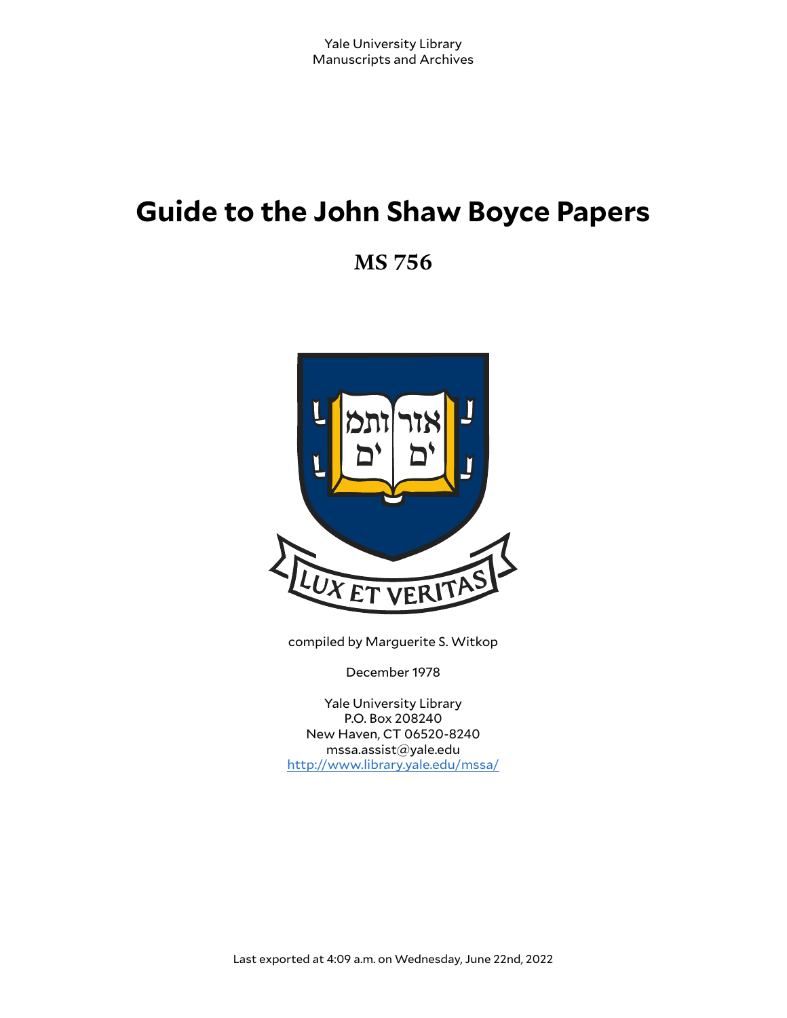# **Guide to the John Shaw Boyce Papers**

**MS 756**



compiled by Marguerite S. Witkop

December 1978

Yale University Library P.O. Box 208240 New Haven, CT 06520-8240 mssa.assist@yale.edu <http://www.library.yale.edu/mssa/>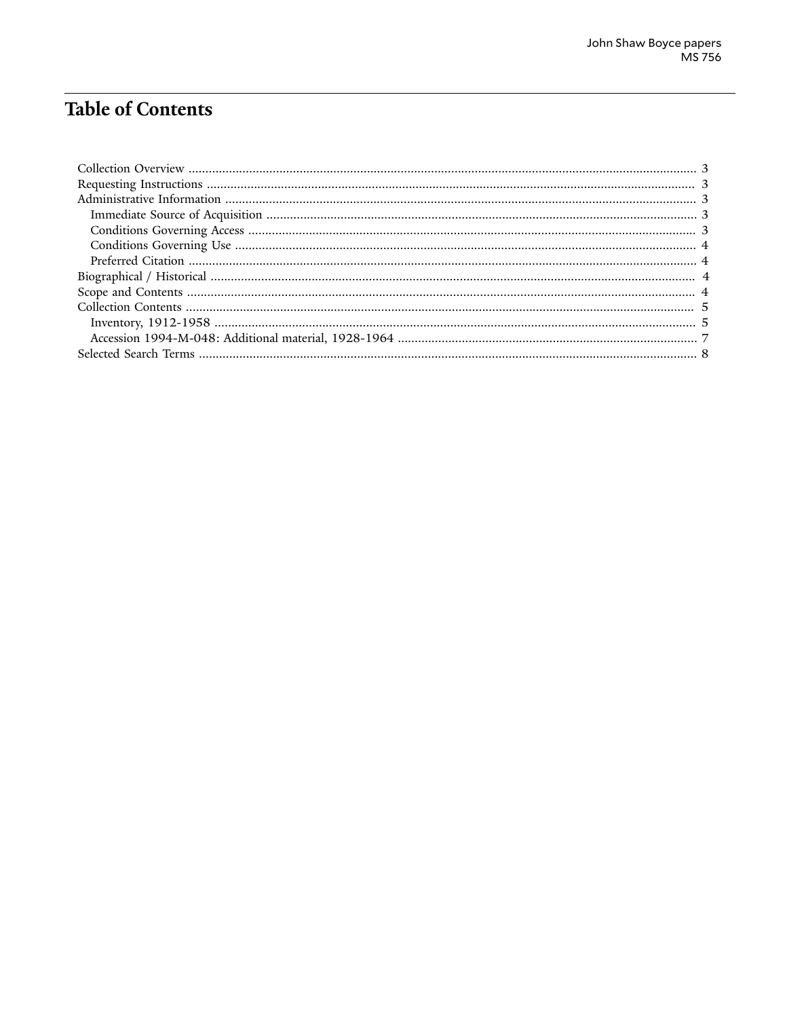# **Table of Contents**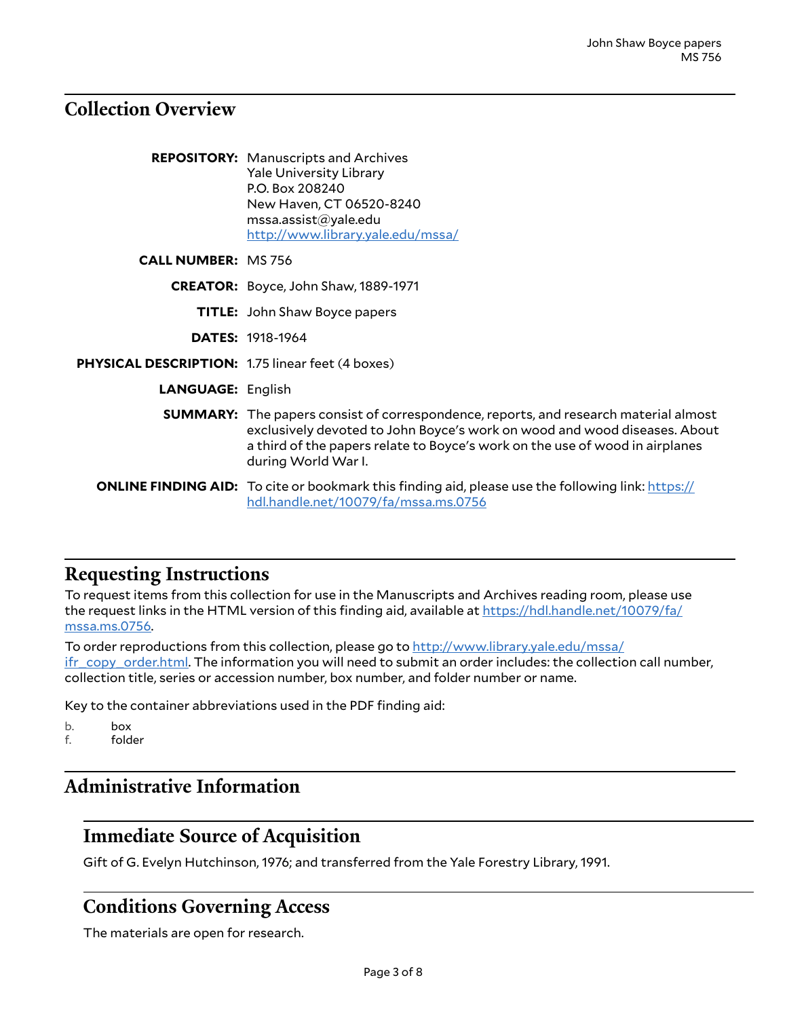#### <span id="page-2-0"></span>**Collection Overview**

|                                                         | <b>REPOSITORY:</b> Manuscripts and Archives<br><b>Yale University Library</b><br>P.O. Box 208240<br>New Haven, CT 06520-8240<br>msa. assist@yale.edu<br>http://www.library.yale.edu/mssa/                                                                                       |
|---------------------------------------------------------|---------------------------------------------------------------------------------------------------------------------------------------------------------------------------------------------------------------------------------------------------------------------------------|
| <b>CALL NUMBER: MS 756</b>                              |                                                                                                                                                                                                                                                                                 |
|                                                         | <b>CREATOR:</b> Boyce, John Shaw, 1889-1971                                                                                                                                                                                                                                     |
|                                                         | <b>TITLE:</b> John Shaw Boyce papers                                                                                                                                                                                                                                            |
|                                                         | <b>DATES: 1918-1964</b>                                                                                                                                                                                                                                                         |
| <b>PHYSICAL DESCRIPTION: 1.75 linear feet (4 boxes)</b> |                                                                                                                                                                                                                                                                                 |
| <b>LANGUAGE: English</b>                                |                                                                                                                                                                                                                                                                                 |
|                                                         | <b>SUMMARY:</b> The papers consist of correspondence, reports, and research material almost<br>exclusively devoted to John Boyce's work on wood and wood diseases. About<br>a third of the papers relate to Boyce's work on the use of wood in airplanes<br>during World War I. |
|                                                         | <b>ONLINE FINDING AID:</b> To cite or bookmark this finding aid, please use the following link: https://<br>hdl.handle.net/10079/fa/mssa.ms.0756                                                                                                                                |

#### <span id="page-2-1"></span>**Requesting Instructions**

To request items from this collection for use in the Manuscripts and Archives reading room, please use the request links in the HTML version of this finding aid, available at [https://hdl.handle.net/10079/fa/](https://hdl.handle.net/10079/fa/mssa.ms.0756) [mssa.ms.0756.](https://hdl.handle.net/10079/fa/mssa.ms.0756)

To order reproductions from this collection, please go to [http://www.library.yale.edu/mssa/](http://www.library.yale.edu/mssa/ifr_copy_order.html) [ifr\\_copy\\_order.html.](http://www.library.yale.edu/mssa/ifr_copy_order.html) The information you will need to submit an order includes: the collection call number, collection title, series or accession number, box number, and folder number or name.

Key to the container abbreviations used in the PDF finding aid:

b. box

f. folder

# <span id="page-2-2"></span>**Administrative Information**

# <span id="page-2-3"></span>**Immediate Source of Acquisition**

Gift of G. Evelyn Hutchinson, 1976; and transferred from the Yale Forestry Library, 1991.

#### <span id="page-2-4"></span>**Conditions Governing Access**

The materials are open for research.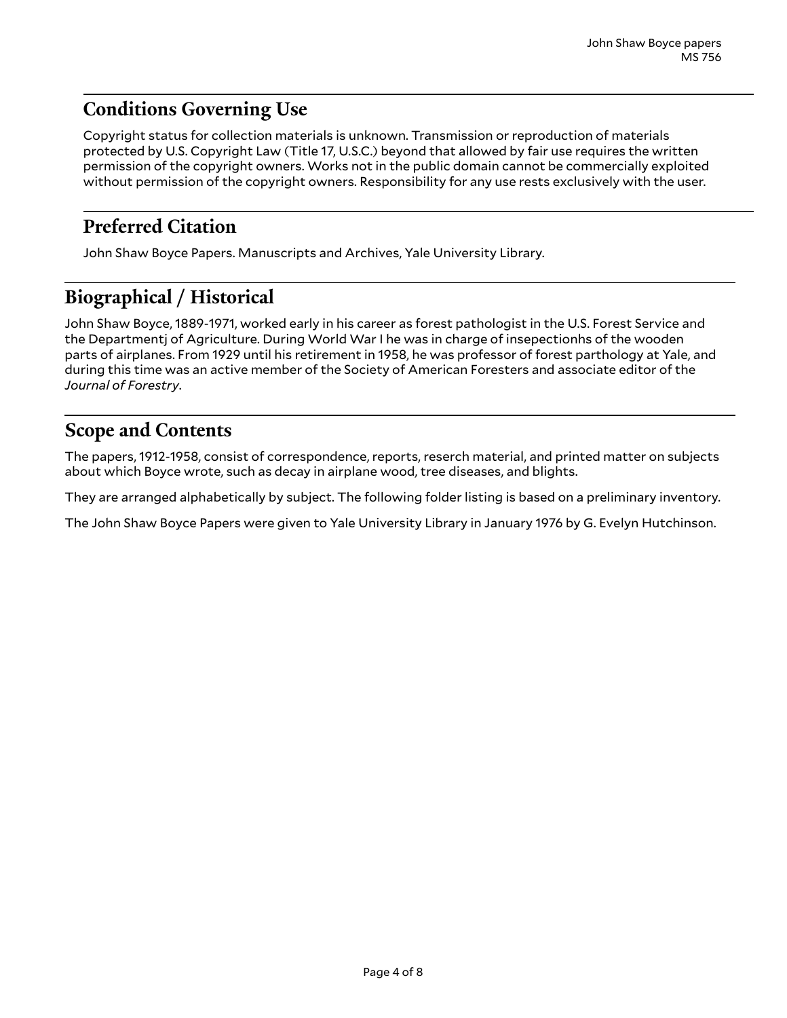# <span id="page-3-0"></span>**Conditions Governing Use**

Copyright status for collection materials is unknown. Transmission or reproduction of materials protected by U.S. Copyright Law (Title 17, U.S.C.) beyond that allowed by fair use requires the written permission of the copyright owners. Works not in the public domain cannot be commercially exploited without permission of the copyright owners. Responsibility for any use rests exclusively with the user.

### <span id="page-3-1"></span>**Preferred Citation**

John Shaw Boyce Papers. Manuscripts and Archives, Yale University Library.

# <span id="page-3-2"></span>**Biographical / Historical**

John Shaw Boyce, 1889-1971, worked early in his career as forest pathologist in the U.S. Forest Service and the Departmentj of Agriculture. During World War I he was in charge of insepectionhs of the wooden parts of airplanes. From 1929 until his retirement in 1958, he was professor of forest parthology at Yale, and during this time was an active member of the Society of American Foresters and associate editor of the *Journal of Forestry*.

# <span id="page-3-3"></span>**Scope and Contents**

The papers, 1912-1958, consist of correspondence, reports, reserch material, and printed matter on subjects about which Boyce wrote, such as decay in airplane wood, tree diseases, and blights.

They are arranged alphabetically by subject. The following folder listing is based on a preliminary inventory.

The John Shaw Boyce Papers were given to Yale University Library in January 1976 by G. Evelyn Hutchinson.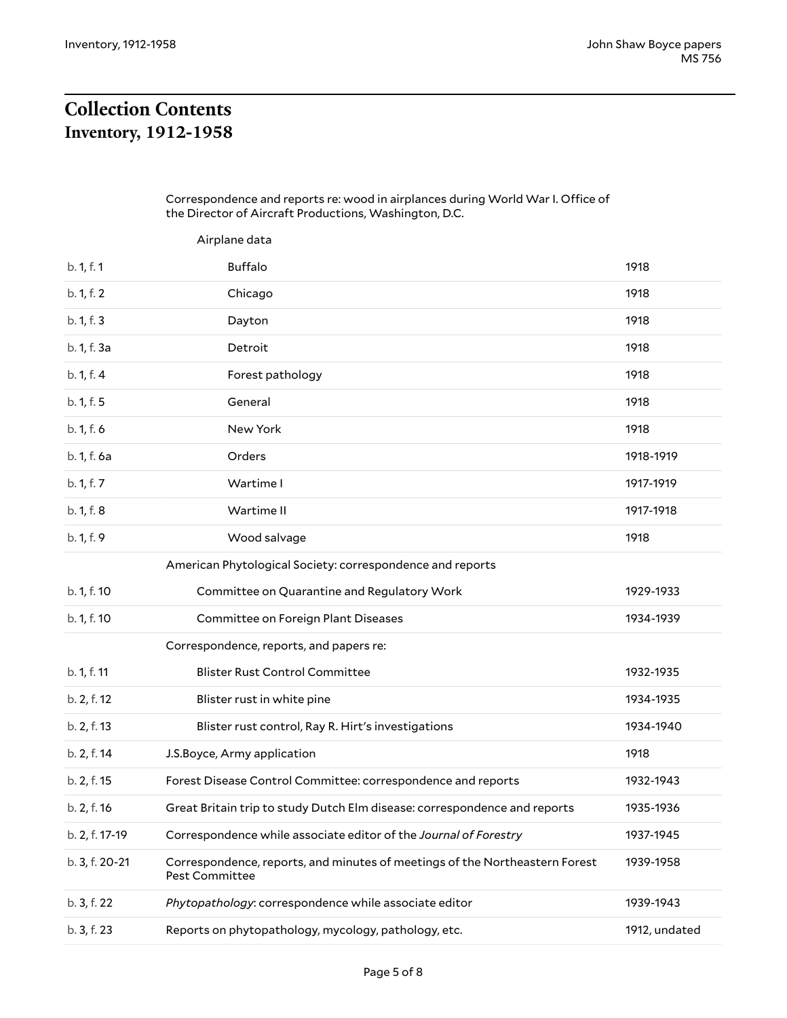# <span id="page-4-1"></span><span id="page-4-0"></span>**Collection Contents Inventory, 1912-1958**

#### Correspondence and reports re: wood in airplances during World War I. Office of the Director of Aircraft Productions, Washington, D.C.

|                | Airplane data                                                                                        |               |
|----------------|------------------------------------------------------------------------------------------------------|---------------|
| b. 1, f. 1     | <b>Buffalo</b>                                                                                       | 1918          |
| b. 1, f. 2     | Chicago                                                                                              | 1918          |
| b. 1, f. 3     | Dayton                                                                                               | 1918          |
| b. 1, f. 3a    | Detroit                                                                                              | 1918          |
| b. 1, f. 4     | Forest pathology                                                                                     | 1918          |
| b. 1, f. 5     | General                                                                                              | 1918          |
| b. 1, f. 6     | New York                                                                                             | 1918          |
| b. 1, f. 6a    | Orders                                                                                               | 1918-1919     |
| b. 1, f. 7     | Wartime I                                                                                            | 1917-1919     |
| b. 1, f. 8     | Wartime II                                                                                           | 1917-1918     |
| b. 1, f. 9     | Wood salvage                                                                                         | 1918          |
|                | American Phytological Society: correspondence and reports                                            |               |
| b. 1, f. 10    | Committee on Quarantine and Regulatory Work                                                          | 1929-1933     |
| b. 1, f. 10    | Committee on Foreign Plant Diseases                                                                  | 1934-1939     |
|                | Correspondence, reports, and papers re:                                                              |               |
| b. 1, f. 11    | <b>Blister Rust Control Committee</b>                                                                | 1932-1935     |
| b. 2, f. 12    | Blister rust in white pine                                                                           | 1934-1935     |
| b. 2, f. 13    | Blister rust control, Ray R. Hirt's investigations                                                   | 1934-1940     |
| b. 2, f. 14    | J.S.Boyce, Army application                                                                          | 1918          |
| b. 2, f. 15    | Forest Disease Control Committee: correspondence and reports                                         | 1932-1943     |
| b. 2, f. 16    | Great Britain trip to study Dutch Elm disease: correspondence and reports                            | 1935-1936     |
| b. 2, f. 17-19 | Correspondence while associate editor of the Journal of Forestry                                     | 1937-1945     |
| b. 3, f. 20-21 | Correspondence, reports, and minutes of meetings of the Northeastern Forest<br><b>Pest Committee</b> | 1939-1958     |
| b. 3, f. 22    | Phytopathology: correspondence while associate editor                                                | 1939-1943     |
| b. 3, f. 23    | Reports on phytopathology, mycology, pathology, etc.                                                 | 1912, undated |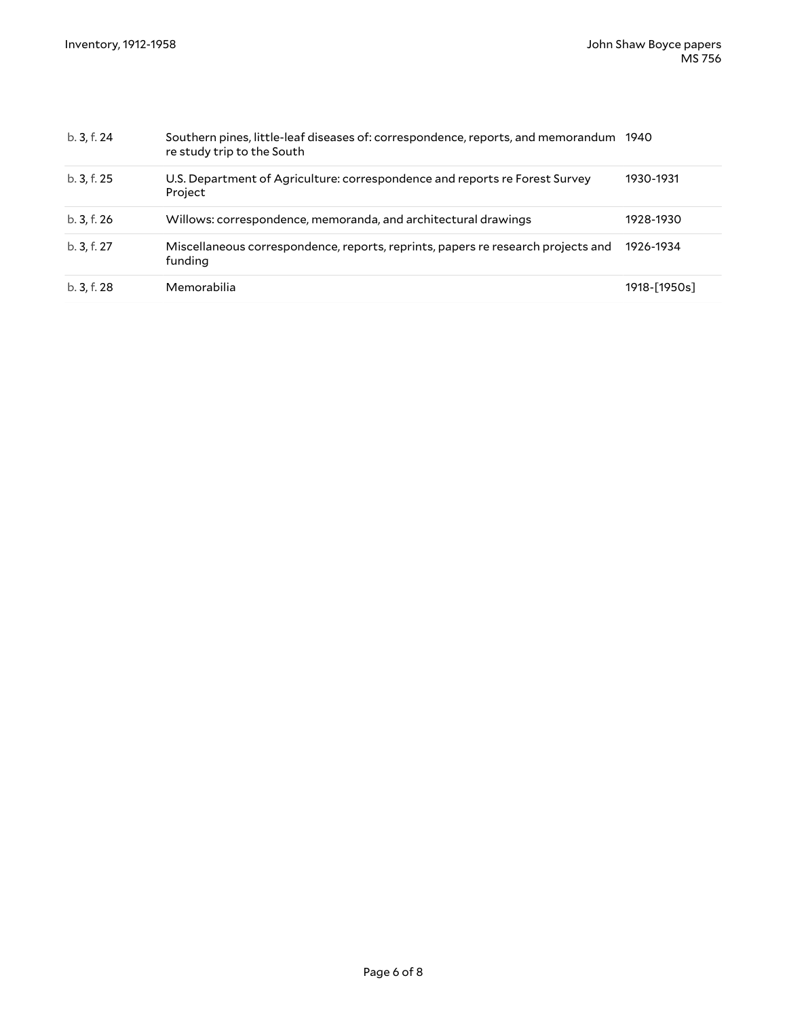| b. 3, f. 24 | Southern pines, little-leaf diseases of: correspondence, reports, and memorandum<br>re study trip to the South | 1940         |
|-------------|----------------------------------------------------------------------------------------------------------------|--------------|
| b. 3, f. 25 | U.S. Department of Agriculture: correspondence and reports re Forest Survey<br>Project                         | 1930-1931    |
| b. 3, f. 26 | Willows: correspondence, memoranda, and architectural drawings                                                 | 1928-1930    |
| b. 3, f. 27 | Miscellaneous correspondence, reports, reprints, papers re research projects and<br>funding                    | 1926-1934    |
| b. 3, f. 28 | Memorabilia                                                                                                    | 1918-[1950s] |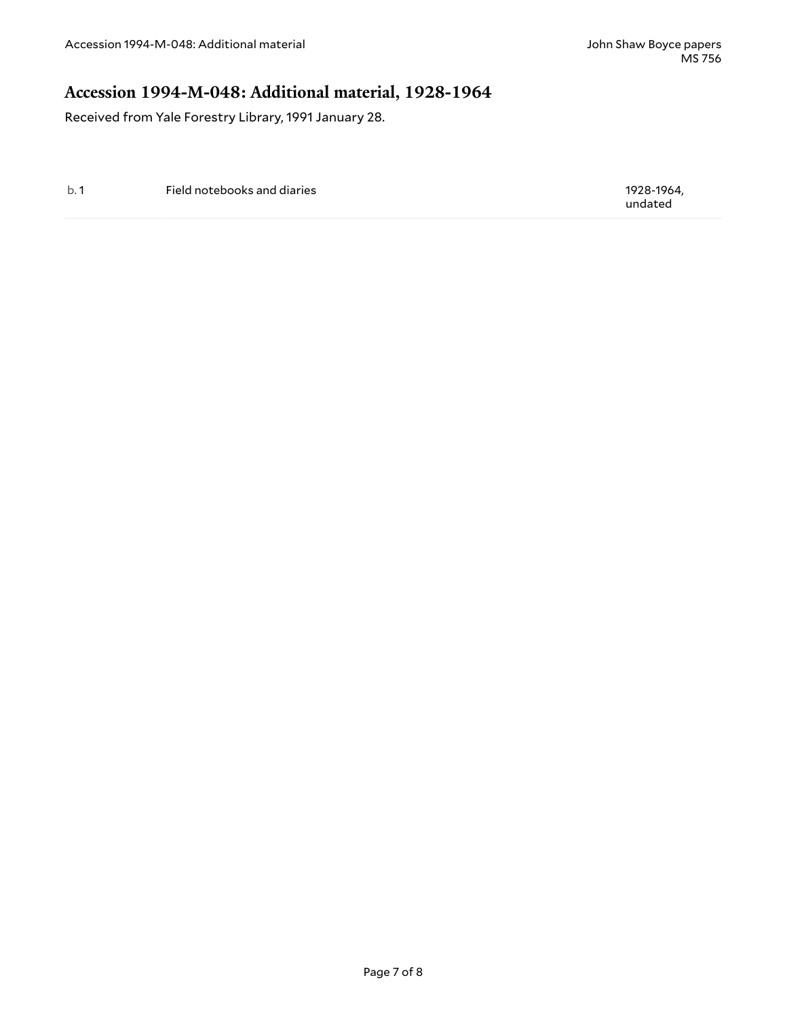#### <span id="page-6-0"></span>**Accession 1994-M-048: Additional material, 1928-1964**

Received from Yale Forestry Library, 1991 January 28.

b. 1 Field notebooks and diaries 1928-1964, and the state of the state of the state 1928-1964,

undated